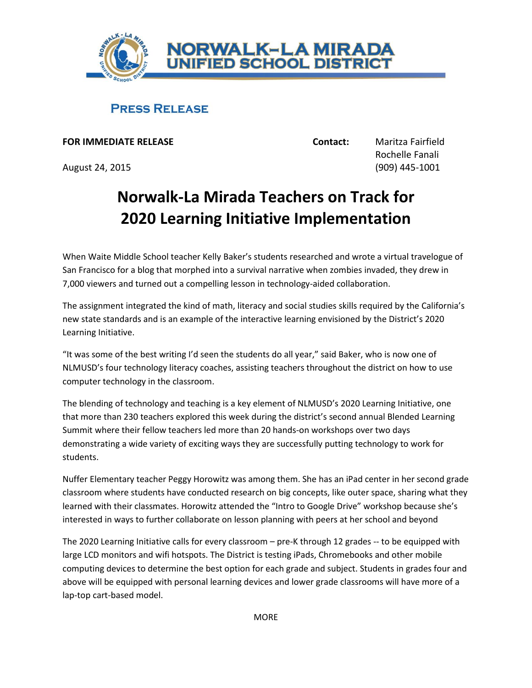

## **PRESS RELEASE**

**FOR IMMEDIATE RELEASE Contact:** Maritza Fairfield

August 24, 2015 (909) 445-1001

Rochelle Fanali

## **Norwalk-La Mirada Teachers on Track for 2020 Learning Initiative Implementation**

When Waite Middle School teacher Kelly Baker's students researched and wrote a virtual travelogue of San Francisco for a blog that morphed into a survival narrative when zombies invaded, they drew in 7,000 viewers and turned out a compelling lesson in technology-aided collaboration.

The assignment integrated the kind of math, literacy and social studies skills required by the California's new state standards and is an example of the interactive learning envisioned by the District's 2020 Learning Initiative.

"It was some of the best writing I'd seen the students do all year," said Baker, who is now one of NLMUSD's four technology literacy coaches, assisting teachers throughout the district on how to use computer technology in the classroom.

The blending of technology and teaching is a key element of NLMUSD's 2020 Learning Initiative, one that more than 230 teachers explored this week during the district's second annual Blended Learning Summit where their fellow teachers led more than 20 hands-on workshops over two days demonstrating a wide variety of exciting ways they are successfully putting technology to work for students.

Nuffer Elementary teacher Peggy Horowitz was among them. She has an iPad center in her second grade classroom where students have conducted research on big concepts, like outer space, sharing what they learned with their classmates. Horowitz attended the "Intro to Google Drive" workshop because she's interested in ways to further collaborate on lesson planning with peers at her school and beyond

The 2020 Learning Initiative calls for every classroom – pre-K through 12 grades -- to be equipped with large LCD monitors and wifi hotspots. The District is testing iPads, Chromebooks and other mobile computing devices to determine the best option for each grade and subject. Students in grades four and above will be equipped with personal learning devices and lower grade classrooms will have more of a lap-top cart-based model.